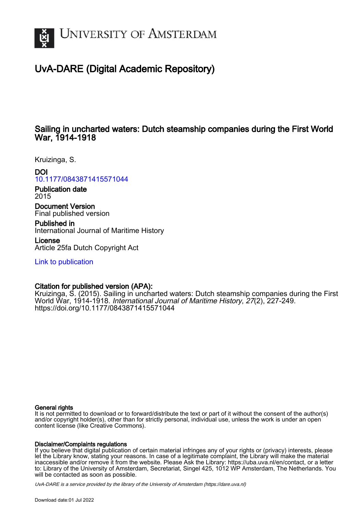

# UvA-DARE (Digital Academic Repository)

# Sailing in uncharted waters: Dutch steamship companies during the First World War, 1914-1918

Kruizinga, S.

# DOI

[10.1177/0843871415571044](https://doi.org/10.1177/0843871415571044)

Publication date 2015

Document Version Final published version

Published in International Journal of Maritime History

License

Article 25fa Dutch Copyright Act

[Link to publication](https://dare.uva.nl/personal/pure/en/publications/sailing-in-uncharted-waters-dutch-steamship-companies-during-the-first-world-war-19141918(7918f615-4389-4165-8905-710011e051e5).html)

# Citation for published version (APA):

Kruizinga, S. (2015). Sailing in uncharted waters: Dutch steamship companies during the First World War, 1914-1918. International Journal of Maritime History, 27(2), 227-249. <https://doi.org/10.1177/0843871415571044>

# General rights

It is not permitted to download or to forward/distribute the text or part of it without the consent of the author(s) and/or copyright holder(s), other than for strictly personal, individual use, unless the work is under an open content license (like Creative Commons).

# Disclaimer/Complaints regulations

If you believe that digital publication of certain material infringes any of your rights or (privacy) interests, please let the Library know, stating your reasons. In case of a legitimate complaint, the Library will make the material inaccessible and/or remove it from the website. Please Ask the Library: https://uba.uva.nl/en/contact, or a letter to: Library of the University of Amsterdam, Secretariat, Singel 425, 1012 WP Amsterdam, The Netherlands. You will be contacted as soon as possible.

UvA-DARE is a service provided by the library of the University of Amsterdam (http*s*://dare.uva.nl)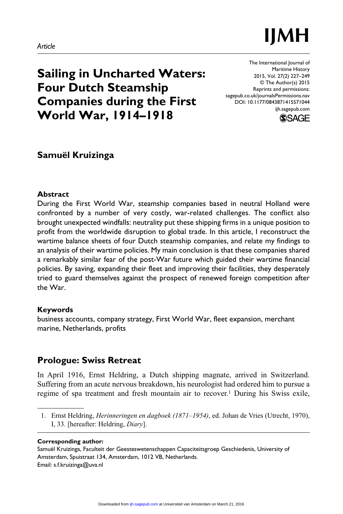

**Sailing in Uncharted Waters: Four Dutch Steamship Companies during the First World War, 1914–1918**

The International lournal of Maritime History 2015, Vol. 27(2) 227–249 © The Author(s) 2015 Reprints and permissions: sagepub.co.uk/journalsPermissions.nav DOI: 10.1177/0843871415571044 ijh.sagepub.com



# **Samuël Kruizinga**

#### **Abstract**

During the First World War, steamship companies based in neutral Holland were confronted by a number of very costly, war-related challenges. The conflict also brought unexpected windfalls: neutrality put these shipping firms in a unique position to profit from the worldwide disruption to global trade. In this article, I reconstruct the wartime balance sheets of four Dutch steamship companies, and relate my findings to an analysis of their wartime policies. My main conclusion is that these companies shared a remarkably similar fear of the post-War future which guided their wartime financial policies. By saving, expanding their fleet and improving their facilities, they desperately tried to guard themselves against the prospect of renewed foreign competition after the War.

#### **Keywords**

business accounts, company strategy, First World War, fleet expansion, merchant marine, Netherlands, profits

# **Prologue: Swiss Retreat**

In April 1916, Ernst Heldring, a Dutch shipping magnate, arrived in Switzerland. Suffering from an acute nervous breakdown, his neurologist had ordered him to pursue a regime of spa treatment and fresh mountain air to recover.1 During his Swiss exile,

#### **Corresponding author:**

Samuël Kruizinga, Faculteit der Geesteswetenschappen Capaciteitsgroep Geschiedenis, University of Amsterdam, Spuistraat 134, Amsterdam, 1012 VB, Netherlands. Email: [s.f.kruizinga@uva.nl](mailto:s.f.kruizinga@uva.nl)

<sup>1.</sup> Ernst Heldring, *Herinneringen en dagboek (1871–1954)*, ed. Johan de Vries (Utrecht, 1970), I, 33. [hereafter: Heldring, *Diary*].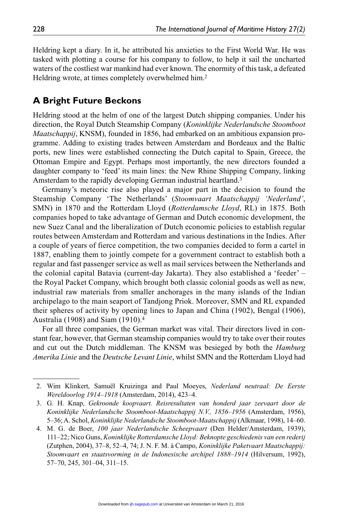Heldring kept a diary. In it, he attributed his anxieties to the First World War. He was tasked with plotting a course for his company to follow, to help it sail the uncharted waters of the costliest war mankind had ever known. The enormity of this task, a defeated Heldring wrote, at times completely overwhelmed him.2

# **A Bright Future Beckons**

Heldring stood at the helm of one of the largest Dutch shipping companies. Under his direction, the Royal Dutch Steamship Company (*Koninklijke Nederlandsche Stoomboot Maatschappij*, KNSM), founded in 1856, had embarked on an ambitious expansion programme. Adding to existing trades between Amsterdam and Bordeaux and the Baltic ports, new lines were established connecting the Dutch capital to Spain, Greece, the Ottoman Empire and Egypt. Perhaps most importantly, the new directors founded a daughter company to 'feed' its main lines: the New Rhine Shipping Company, linking Amsterdam to the rapidly developing German industrial heartland.<sup>3</sup>

Germany's meteoric rise also played a major part in the decision to found the Steamship Company 'The Netherlands' (*Stoomvaart Maatschappij 'Nederland'*, SMN) in 1870 and the Rotterdam Lloyd (*Rotterdamsche Lloyd*, RL) in 1875. Both companies hoped to take advantage of German and Dutch economic development, the new Suez Canal and the liberalization of Dutch economic policies to establish regular routes between Amsterdam and Rotterdam and various destinations in the Indies. After a couple of years of fierce competition, the two companies decided to form a cartel in 1887, enabling them to jointly compete for a government contract to establish both a regular and fast passenger service as well as mail services between the Netherlands and the colonial capital Batavia (current-day Jakarta). They also established a 'feeder' – the Royal Packet Company, which brought both classic colonial goods as well as new, industrial raw materials from smaller anchorages in the many islands of the Indian archipelago to the main seaport of Tandjong Priok. Moreover, SMN and RL expanded their spheres of activity by opening lines to Japan and China (1902), Bengal (1906), Australia (1908) and Siam (1910).4

For all three companies, the German market was vital. Their directors lived in constant fear, however, that German steamship companies would try to take over their routes and cut out the Dutch middleman. The KNSM was besieged by both the *Hamburg Amerika Linie* and the *Deutsche Levant Linie*, whilst SMN and the Rotterdam Lloyd had

<sup>2.</sup> Wim Klinkert, Samuël Kruizinga and Paul Moeyes, *Nederland neutraal: De Eerste Wereldoorlog 1914–1918* (Amsterdam, 2014), 423–4.

<sup>3.</sup> G. H. Knap, *Gekroonde koopvaart. Reisresultaten van honderd jaar zeevaart door de Koninklijke Nederlandsche Stoomboot-Maatschappij N.V., 1856–1956* (Amsterdam, 1956), 5–36; A. Schol, *Koninklijke Nederlandsche Stoomboot-Maatschappij* (Alkmaar, 1998), 14–60.

<sup>4.</sup> M. G. de Boer, *100 jaar Nederlandsche Scheepvaart* (Den Helder/Amsterdam, 1939), 111–22; Nico Guns, *Koninklijke Rotterdamsche Lloyd: Beknopte geschiedenis van een rederij* (Zutphen, 2004), 37–8, 52–4, 74; J. N. F. M. à Campo, *Koninklijke Paketvaart Maatschappij: Stoomvaart en staatsvorming in de Indonesische archipel 1888–1914* (Hilversum, 1992), 57–70, 245, 301–04, 311–15.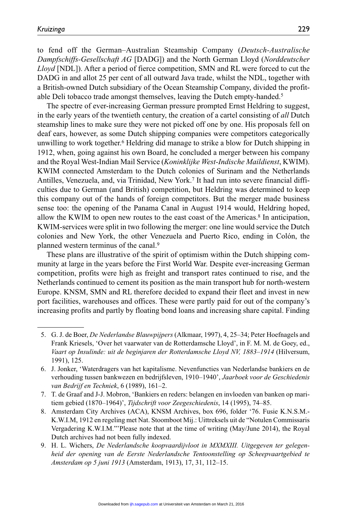to fend off the German–Australian Steamship Company (*Deutsch-Australische Dampfschiffs-Gesellschaft AG* [DADG]) and the North German Lloyd (*Norddeutscher Lloyd* [NDL]). After a period of fierce competition, SMN and RL were forced to cut the DADG in and allot 25 per cent of all outward Java trade, whilst the NDL, together with a British-owned Dutch subsidiary of the Ocean Steamship Company, divided the profitable Deli tobacco trade amongst themselves, leaving the Dutch empty-handed.5

The spectre of ever-increasing German pressure prompted Ernst Heldring to suggest, in the early years of the twentieth century, the creation of a cartel consisting of *all* Dutch steamship lines to make sure they were not picked off one by one. His proposals fell on deaf ears, however, as some Dutch shipping companies were competitors categorically unwilling to work together.6 Heldring did manage to strike a blow for Dutch shipping in 1912, when, going against his own Board, he concluded a merger between his company and the Royal West-Indian Mail Service (*Koninklijke West-Indische Maildienst*, KWIM). KWIM connected Amsterdam to the Dutch colonies of Surinam and the Netherlands Antilles, Venezuela, and, via Trinidad, New York.7 It had run into severe financial difficulties due to German (and British) competition, but Heldring was determined to keep this company out of the hands of foreign competitors. But the merger made business sense too: the opening of the Panama Canal in August 1914 would, Heldring hoped, allow the KWIM to open new routes to the east coast of the Americas.8 In anticipation, KWIM-services were split in two following the merger: one line would service the Dutch colonies and New York, the other Venezuela and Puerto Rico, ending in Colón, the planned western terminus of the canal.9

These plans are illustrative of the spirit of optimism within the Dutch shipping community at large in the years before the First World War. Despite ever-increasing German competition, profits were high as freight and transport rates continued to rise, and the Netherlands continued to cement its position as the main transport hub for north-western Europe. KNSM, SMN and RL therefore decided to expand their fleet and invest in new port facilities, warehouses and offices. These were partly paid for out of the company's increasing profits and partly by floating bond loans and increasing share capital. Finding

<sup>5.</sup> G. J. de Boer, *De Nederlandse Blauwpijpers* (Alkmaar, 1997), 4, 25–34; Peter Hoefnagels and Frank Kriesels, 'Over het vaarwater van de Rotterdamsche Lloyd', in F. M. M. de Goey, ed., *Vaart op Insulinde: uit de beginjaren der Rotterdamsche Lloyd NV, 1883*–*1914* (Hilversum, 1991), 125.

<sup>6.</sup> J. Jonker, 'Waterdragers van het kapitalisme. Nevenfuncties van Nederlandse bankiers en de verhouding tussen bankwezen en bedrijfsleven, 1910–1940', *Jaarboek voor de Geschiedenis van Bedrijf en Techniek*, 6 (1989), 161–2.

<sup>7.</sup> T. de Graaf and J-J. Mobron, 'Bankiers en reders: belangen en invloeden van banken op maritiem gebied (1870–1964)', *Tijdschrift voor Zeegeschiedenis*, 14 (1995), 74–85.

<sup>8.</sup> Amsterdam City Archives (ACA), KNSM Archives, box 696, folder '76. Fusie K.N.S.M.- K.W.I.M, 1912 en regeling met Nat. Stoomboot Mij.: Uittreksels uit de "Notulen Commissaris Vergadering K.W.I.M."'Please note that at the time of writing (May/June 2014), the Royal Dutch archives had not been fully indexed.

<sup>9.</sup> H. L. Wichers, *De Nederlandsche koopvaardijvloot in MXMXIII. Uitgegeven ter gelegenheid der opening van de Eerste Nederlandsche Tentoonstelling op Scheepvaartgebied te Amsterdam op 5 juni 1913* (Amsterdam, 1913), 17, 31, 112–15.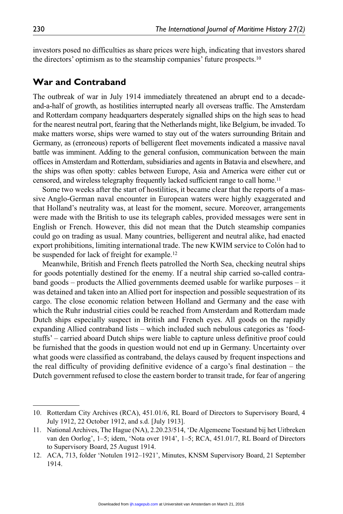investors posed no difficulties as share prices were high, indicating that investors shared the directors' optimism as to the steamship companies' future prospects.10

#### **War and Contraband**

The outbreak of war in July 1914 immediately threatened an abrupt end to a decadeand-a-half of growth, as hostilities interrupted nearly all overseas traffic. The Amsterdam and Rotterdam company headquarters desperately signalled ships on the high seas to head for the nearest neutral port, fearing that the Netherlands might, like Belgium, be invaded. To make matters worse, ships were warned to stay out of the waters surrounding Britain and Germany, as (erroneous) reports of belligerent fleet movements indicated a massive naval battle was imminent. Adding to the general confusion, communication between the main offices in Amsterdam and Rotterdam, subsidiaries and agents in Batavia and elsewhere, and the ships was often spotty: cables between Europe, Asia and America were either cut or censored, and wireless telegraphy frequently lacked sufficient range to call home.11

Some two weeks after the start of hostilities, it became clear that the reports of a massive Anglo-German naval encounter in European waters were highly exaggerated and that Holland's neutrality was, at least for the moment, secure. Moreover, arrangements were made with the British to use its telegraph cables, provided messages were sent in English or French. However, this did not mean that the Dutch steamship companies could go on trading as usual. Many countries, belligerent and neutral alike, had enacted export prohibitions, limiting international trade. The new KWIM service to Colón had to be suspended for lack of freight for example.12

Meanwhile, British and French fleets patrolled the North Sea, checking neutral ships for goods potentially destined for the enemy. If a neutral ship carried so-called contraband goods – products the Allied governments deemed usable for warlike purposes – it was detained and taken into an Allied port for inspection and possible sequestration of its cargo. The close economic relation between Holland and Germany and the ease with which the Ruhr industrial cities could be reached from Amsterdam and Rotterdam made Dutch ships especially suspect in British and French eyes. All goods on the rapidly expanding Allied contraband lists – which included such nebulous categories as 'foodstuffs' – carried aboard Dutch ships were liable to capture unless definitive proof could be furnished that the goods in question would not end up in Germany. Uncertainty over what goods were classified as contraband, the delays caused by frequent inspections and the real difficulty of providing definitive evidence of a cargo's final destination – the Dutch government refused to close the eastern border to transit trade, for fear of angering

<sup>10.</sup> Rotterdam City Archives (RCA), 451.01/6, RL Board of Directors to Supervisory Board, 4 July 1912, 22 October 1912, and s.d. [July 1913].

<sup>11.</sup> National Archives, The Hague (NA), 2.20.23/514, 'De Algemeene Toestand bij het Uitbreken van den Oorlog', 1–5; idem, 'Nota over 1914', 1–5; RCA, 451.01/7, RL Board of Directors to Supervisory Board, 25 August 1914.

<sup>12.</sup> ACA, 713, folder 'Notulen 1912–1921', Minutes, KNSM Supervisory Board, 21 September 1914.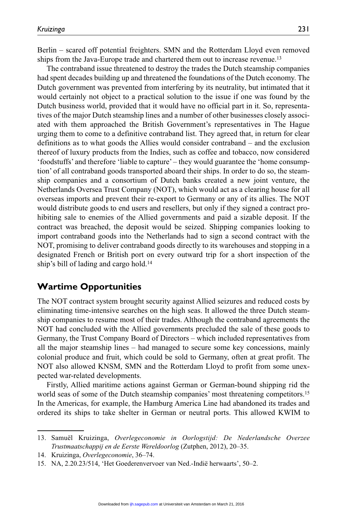Berlin – scared off potential freighters. SMN and the Rotterdam Lloyd even removed ships from the Java-Europe trade and chartered them out to increase revenue.<sup>13</sup>

The contraband issue threatened to destroy the trades the Dutch steamship companies had spent decades building up and threatened the foundations of the Dutch economy. The Dutch government was prevented from interfering by its neutrality, but intimated that it would certainly not object to a practical solution to the issue if one was found by the Dutch business world, provided that it would have no official part in it. So, representatives of the major Dutch steamship lines and a number of other businesses closely associated with them approached the British Government's representatives in The Hague urging them to come to a definitive contraband list. They agreed that, in return for clear definitions as to what goods the Allies would consider contraband – and the exclusion thereof of luxury products from the Indies, such as coffee and tobacco, now considered 'foodstuffs' and therefore 'liable to capture' – they would guarantee the 'home consumption' of all contraband goods transported aboard their ships. In order to do so, the steamship companies and a consortium of Dutch banks created a new joint venture, the Netherlands Oversea Trust Company (NOT), which would act as a clearing house for all overseas imports and prevent their re-export to Germany or any of its allies. The NOT would distribute goods to end users and resellers, but only if they signed a contract prohibiting sale to enemies of the Allied governments and paid a sizable deposit. If the contract was breached, the deposit would be seized. Shipping companies looking to import contraband goods into the Netherlands had to sign a second contract with the NOT, promising to deliver contraband goods directly to its warehouses and stopping in a designated French or British port on every outward trip for a short inspection of the ship's bill of lading and cargo hold.<sup>14</sup>

#### **Wartime Opportunities**

The NOT contract system brought security against Allied seizures and reduced costs by eliminating time-intensive searches on the high seas. It allowed the three Dutch steamship companies to resume most of their trades. Although the contraband agreements the NOT had concluded with the Allied governments precluded the sale of these goods to Germany, the Trust Company Board of Directors – which included representatives from all the major steamship lines – had managed to secure some key concessions, mainly colonial produce and fruit, which could be sold to Germany, often at great profit. The NOT also allowed KNSM, SMN and the Rotterdam Lloyd to profit from some unexpected war-related developments.

Firstly, Allied maritime actions against German or German-bound shipping rid the world seas of some of the Dutch steamship companies' most threatening competitors.<sup>15</sup> In the Americas, for example, the Hamburg America Line had abandoned its trades and ordered its ships to take shelter in German or neutral ports. This allowed KWIM to

<sup>13.</sup> Samuël Kruizinga, *Overlegeconomie in Oorlogstijd: De Nederlandsche Overzee Trustmaatschappij en de Eerste Wereldoorlog* (Zutphen, 2012), 20–35.

<sup>14.</sup> Kruizinga, *Overlegeconomie*, 36–74.

<sup>15.</sup> NA, 2.20.23/514, 'Het Goederenvervoer van Ned.-Indië herwaarts', 50–2.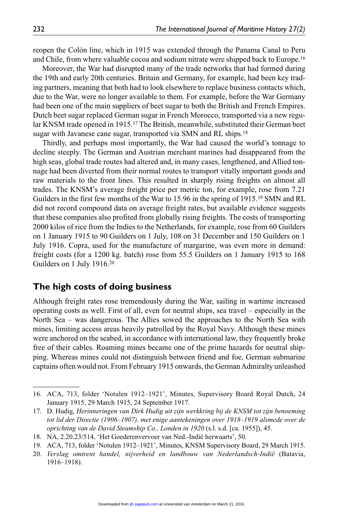reopen the Colón line, which in 1915 was extended through the Panama Canal to Peru and Chile, from where valuable cocoa and sodium nitrate were shipped back to Europe.16

Moreover, the War had disrupted many of the trade networks that had formed during the 19th and early 20th centuries. Britain and Germany, for example, had been key trading partners, meaning that both had to look elsewhere to replace business contacts which, due to the War, were no longer available to them. For example, before the War Germany had been one of the main suppliers of beet sugar to both the British and French Empires. Dutch beet sugar replaced German sugar in French Morocco, transported via a new regular KNSM trade opened in 1915.17 The British, meanwhile, substituted their German beet sugar with Javanese cane sugar, transported via SMN and RL ships.<sup>18</sup>

Thirdly, and perhaps most importantly, the War had caused the world's tonnage to decline steeply. The German and Austrian merchant marines had disappeared from the high seas, global trade routes had altered and, in many cases, lengthened, and Allied tonnage had been diverted from their normal routes to transport vitally important goods and raw materials to the front lines. This resulted in sharply rising freights on almost all trades. The KNSM's average freight price per metric ton, for example, rose from 7.21 Guilders in the first few months of the War to 15.96 in the spring of 1915.19 SMN and RL did not record compound data on average freight rates, but available evidence suggests that these companies also profited from globally rising freights. The costs of transporting 2000 kilos of rice from the Indies to the Netherlands, for example, rose from 60 Guilders on 1 January 1915 to 90 Guilders on 1 July, 108 on 31 December and 150 Guilders on 1 July 1916. Copra, used for the manufacture of margarine, was even more in demand: freight costs (for a 1200 kg. batch) rose from 55.5 Guilders on 1 January 1915 to 168 Guilders on 1 July 1916.20

#### **The high costs of doing business**

Although freight rates rose tremendously during the War, sailing in wartime increased operating costs as well. First of all, even for neutral ships, sea travel – especially in the North Sea – was dangerous. The Allies sowed the approaches to the North Sea with mines, limiting access areas heavily patrolled by the Royal Navy. Although these mines were anchored on the seabed, in accordance with international law, they frequently broke free of their cables. Roaming mines became one of the prime hazards for neutral shipping. Whereas mines could not distinguish between friend and foe, German submarine captains often would not. From February 1915 onwards, the German Admiralty unleashed

<sup>16.</sup> ACA, 713, folder 'Notulen 1912–1921', Minutes, Supervisory Board Royal Dutch, 24 January 1915, 29 March 1915, 24 September 1917.

<sup>17.</sup> D. Hudig, *Herinneringen van Dirk Hudig uit zijn werkkring bij de KNSM tot zijn benoeming tot lid der Directie (1906*–*1907), met enige aantekeningen over 1918*–*1919 alsmede over de oprichting van de David Steamship Co., Londen in 1920* (s.l. s.d. [ca. 1955]), 45.

<sup>18.</sup> NA, 2.20.23/514, 'Het Goederenvervoer van Ned.-Indië herwaarts', 50.

<sup>19.</sup> ACA, 713, folder 'Notulen 1912–1921', Minutes, KNSM Supervisory Board, 29 March 1915.

<sup>20.</sup> *Verslag omtrent handel, nijverheid en landbouw van Nederlandsch-Indië* (Batavia, 1916–1918).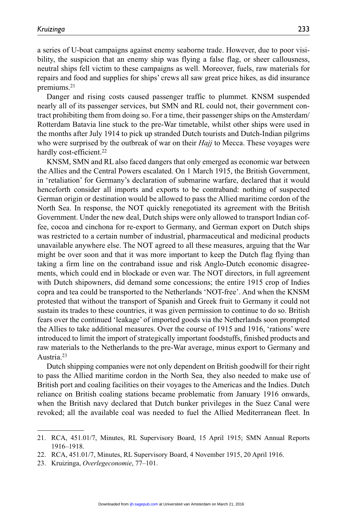a series of U-boat campaigns against enemy seaborne trade. However, due to poor visibility, the suspicion that an enemy ship was flying a false flag, or sheer callousness, neutral ships fell victim to these campaigns as well. Moreover, fuels, raw materials for repairs and food and supplies for ships' crews all saw great price hikes, as did insurance premiums.21

Danger and rising costs caused passenger traffic to plummet. KNSM suspended nearly all of its passenger services, but SMN and RL could not, their government contract prohibiting them from doing so. For a time, their passenger ships on the Amsterdam/ Rotterdam Batavia line stuck to the pre-War timetable, whilst other ships were used in the months after July 1914 to pick up stranded Dutch tourists and Dutch-Indian pilgrims who were surprised by the outbreak of war on their *Hajj* to Mecca. These voyages were hardly cost-efficient.<sup>22</sup>

KNSM, SMN and RL also faced dangers that only emerged as economic war between the Allies and the Central Powers escalated. On 1 March 1915, the British Government, in 'retaliation' for Germany's declaration of submarine warfare, declared that it would henceforth consider all imports and exports to be contraband: nothing of suspected German origin or destination would be allowed to pass the Allied maritime cordon of the North Sea. In response, the NOT quickly renegotiated its agreement with the British Government. Under the new deal, Dutch ships were only allowed to transport Indian coffee, cocoa and cinchona for re-export to Germany, and German export on Dutch ships was restricted to a certain number of industrial, pharmaceutical and medicinal products unavailable anywhere else. The NOT agreed to all these measures, arguing that the War might be over soon and that it was more important to keep the Dutch flag flying than taking a firm line on the contraband issue and risk Anglo-Dutch economic disagreements, which could end in blockade or even war. The NOT directors, in full agreement with Dutch shipowners, did demand some concessions; the entire 1915 crop of Indies copra and tea could be transported to the Netherlands 'NOT-free'. And when the KNSM protested that without the transport of Spanish and Greek fruit to Germany it could not sustain its trades to these countries, it was given permission to continue to do so. British fears over the continued 'leakage' of imported goods via the Netherlands soon prompted the Allies to take additional measures. Over the course of 1915 and 1916, 'rations' were introduced to limit the import of strategically important foodstuffs, finished products and raw materials to the Netherlands to the pre-War average, minus export to Germany and Austria.23

Dutch shipping companies were not only dependent on British goodwill for their right to pass the Allied maritime cordon in the North Sea, they also needed to make use of British port and coaling facilities on their voyages to the Americas and the Indies. Dutch reliance on British coaling stations became problematic from January 1916 onwards, when the British navy declared that Dutch bunker privileges in the Suez Canal were revoked; all the available coal was needed to fuel the Allied Mediterranean fleet. In

<sup>21.</sup> RCA, 451.01/7, Minutes, RL Supervisory Board, 15 April 1915; SMN Annual Reports 1916–1918.

<sup>22.</sup> RCA, 451.01/7, Minutes, RL Supervisory Board, 4 November 1915, 20 April 1916.

<sup>23.</sup> Kruizinga, *Overlegeconomie*, 77–101.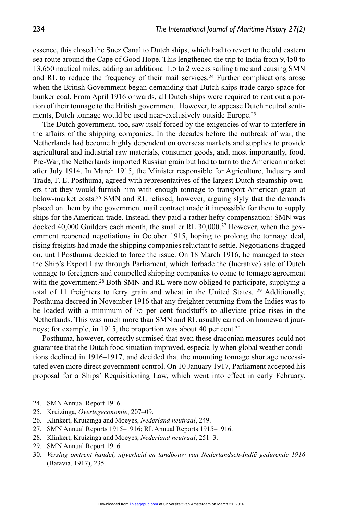essence, this closed the Suez Canal to Dutch ships, which had to revert to the old eastern sea route around the Cape of Good Hope. This lengthened the trip to India from 9,450 to 13,650 nautical miles, adding an additional 1.5 to 2 weeks sailing time and causing SMN and RL to reduce the frequency of their mail services.24 Further complications arose when the British Government began demanding that Dutch ships trade cargo space for bunker coal. From April 1916 onwards, all Dutch ships were required to rent out a portion of their tonnage to the British government. However, to appease Dutch neutral sentiments, Dutch tonnage would be used near-exclusively outside Europe.25

The Dutch government, too, saw itself forced by the exigencies of war to interfere in the affairs of the shipping companies. In the decades before the outbreak of war, the Netherlands had become highly dependent on overseas markets and supplies to provide agricultural and industrial raw materials, consumer goods, and, most importantly, food. Pre-War, the Netherlands imported Russian grain but had to turn to the American market after July 1914. In March 1915, the Minister responsible for Agriculture, Industry and Trade, F. E. Posthuma, agreed with representatives of the largest Dutch steamship owners that they would furnish him with enough tonnage to transport American grain at below-market costs.26 SMN and RL refused, however, arguing slyly that the demands placed on them by the government mail contract made it impossible for them to supply ships for the American trade. Instead, they paid a rather hefty compensation: SMN was docked 40,000 Guilders each month, the smaller RL 30,000.27 However, when the government reopened negotiations in October 1915, hoping to prolong the tonnage deal, rising freights had made the shipping companies reluctant to settle. Negotiations dragged on, until Posthuma decided to force the issue. On 18 March 1916, he managed to steer the Ship's Export Law through Parliament, which forbade the (lucrative) sale of Dutch tonnage to foreigners and compelled shipping companies to come to tonnage agreement with the government.<sup>28</sup> Both SMN and RL were now obliged to participate, supplying a total of 11 freighters to ferry grain and wheat in the United States. 29 Additionally, Posthuma decreed in November 1916 that any freighter returning from the Indies was to be loaded with a minimum of 75 per cent foodstuffs to alleviate price rises in the Netherlands. This was much more than SMN and RL usually carried on homeward journeys; for example, in 1915, the proportion was about 40 per cent.<sup>30</sup>

Posthuma, however, correctly surmised that even these draconian measures could not guarantee that the Dutch food situation improved, especially when global weather conditions declined in 1916–1917, and decided that the mounting tonnage shortage necessitated even more direct government control. On 10 January 1917, Parliament accepted his proposal for a Ships' Requisitioning Law, which went into effect in early February.

<sup>24.</sup> SMN Annual Report 1916.

<sup>25.</sup> Kruizinga, *Overlegeconomie*, 207–09.

<sup>26.</sup> Klinkert, Kruizinga and Moeyes, *Nederland neutraal*, 249.

<sup>27.</sup> SMN Annual Reports 1915–1916; RL Annual Reports 1915–1916.

<sup>28.</sup> Klinkert, Kruizinga and Moeyes, *Nederland neutraal*, 251–3.

<sup>29.</sup> SMN Annual Report 1916.

<sup>30.</sup> *Verslag omtrent handel, nijverheid en landbouw van Nederlandsch-Indië gedurende 1916* (Batavia, 1917), 235.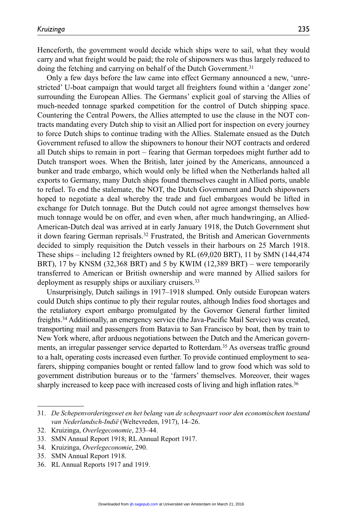Henceforth, the government would decide which ships were to sail, what they would carry and what freight would be paid; the role of shipowners was thus largely reduced to doing the fetching and carrying on behalf of the Dutch Government.<sup>31</sup>

Only a few days before the law came into effect Germany announced a new, 'unrestricted' U-boat campaign that would target all freighters found within a 'danger zone' surrounding the European Allies. The Germans' explicit goal of starving the Allies of much-needed tonnage sparked competition for the control of Dutch shipping space. Countering the Central Powers, the Allies attempted to use the clause in the NOT contracts mandating every Dutch ship to visit an Allied port for inspection on every journey to force Dutch ships to continue trading with the Allies. Stalemate ensued as the Dutch Government refused to allow the shipowners to honour their NOT contracts and ordered all Dutch ships to remain in port – fearing that German torpedoes might further add to Dutch transport woes. When the British, later joined by the Americans, announced a bunker and trade embargo, which would only be lifted when the Netherlands halted all exports to Germany, many Dutch ships found themselves caught in Allied ports, unable to refuel. To end the stalemate, the NOT, the Dutch Government and Dutch shipowners hoped to negotiate a deal whereby the trade and fuel embargoes would be lifted in exchange for Dutch tonnage. But the Dutch could not agree amongst themselves how much tonnage would be on offer, and even when, after much handwringing, an Allied-American-Dutch deal was arrived at in early January 1918, the Dutch Government shut it down fearing German reprisals.32 Frustrated, the British and American Governments decided to simply requisition the Dutch vessels in their harbours on 25 March 1918. These ships – including 12 freighters owned by RL (69,020 BRT), 11 by SMN (144,474 BRT), 17 by KNSM (32,368 BRT) and 5 by KWIM (12,389 BRT) – were temporarily transferred to American or British ownership and were manned by Allied sailors for deployment as resupply ships or auxiliary cruisers.<sup>33</sup>

Unsurprisingly, Dutch sailings in 1917–1918 slumped. Only outside European waters could Dutch ships continue to ply their regular routes, although Indies food shortages and the retaliatory export embargo promulgated by the Governor General further limited freights.34 Additionally, an emergency service (the Java-Pacific Mail Service) was created, transporting mail and passengers from Batavia to San Francisco by boat, then by train to New York where, after arduous negotiations between the Dutch and the American governments, an irregular passenger service departed to Rotterdam.35 As overseas traffic ground to a halt, operating costs increased even further. To provide continued employment to seafarers, shipping companies bought or rented fallow land to grow food which was sold to government distribution bureaus or to the 'farmers' themselves. Moreover, their wages sharply increased to keep pace with increased costs of living and high inflation rates.<sup>36</sup>

<sup>31.</sup> *De Schepenvorderingswet en het belang van de scheepvaart voor den economischen toestand van Nederlandsch-Indië* (Weltevreden, 1917), 14–26.

<sup>32.</sup> Kruizinga, *Overlegeconomie*, 233–44.

<sup>33.</sup> SMN Annual Report 1918; RL Annual Report 1917.

<sup>34.</sup> Kruizinga, *Overlegeconomie*, 290.

<sup>35.</sup> SMN Annual Report 1918.

<sup>36.</sup> RL Annual Reports 1917 and 1919.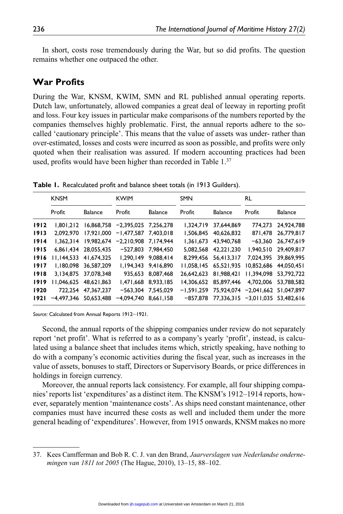In short, costs rose tremendously during the War, but so did profits. The question remains whether one outpaced the other.

# **War Profits**

During the War, KNSM, KWIM, SMN and RL published annual operating reports. Dutch law, unfortunately, allowed companies a great deal of leeway in reporting profit and loss. Four key issues in particular make comparisons of the numbers reported by the companies themselves highly problematic. First, the annual reports adhere to the socalled 'cautionary principle'. This means that the value of assets was under- rather than over-estimated, losses and costs were incurred as soon as possible, and profits were only quoted when their realisation was assured. If modern accounting practices had been used, profits would have been higher than recorded in Table 1.<sup>37</sup>

**Table 1.** Recalculated profit and balance sheet totals (in 1913 Guilders).

|      | <b>KNSM</b> |                         | <b>KWIM</b>                       |                      | <b>SMN</b>   |                       | RL                                              |                       |  |
|------|-------------|-------------------------|-----------------------------------|----------------------|--------------|-----------------------|-------------------------------------------------|-----------------------|--|
|      | Profit      | Balance                 | Profit                            | Balance              | Profit       | <b>Balance</b>        | Profit                                          | Balance               |  |
| 1912 | 1.801.212   |                         | $16,868,758 -2,395,025$ 7,256,278 |                      | 1,324,719    | 37,644,869            | 774.273                                         | 24,924,788            |  |
| 1913 | 2.092.970   | 17,921,000              | $-1.477.587$ 7.403.018            |                      | 1.506.845    | 40.626.832            | 871.478                                         | 26.779.817            |  |
| 1914 | 1.362.314   | 19.982.674              | $-2.210.908$ 7.174.944            |                      |              | 1.361.673 43.940.768  | $-63.360$                                       | 26.747.619            |  |
| 1915 |             | 6.861.434 28.055.435    |                                   | $-527.803$ 7.984.450 | 5.082.568    | 42,221,230            | 1.940.510                                       | 29,409,817            |  |
| 1916 | 11.144.533  | 41.674.325              |                                   | 1.290.149 9.088.414  |              | 8.299.456 56.413.317  | 7.024.395                                       | 39.869.995            |  |
| 1917 | 1,180,098   | 36.587.209              |                                   | 1.194.343 9.416.890  | 11.058.145   | 65.521.935            |                                                 | 10.852.686 44.050.451 |  |
| 1918 | 3.134.875   | 37.078.348              |                                   | 935.653 8.087.468    | 26.642.623   | 81,988,421            | 11.394.098                                      | 53.792.722            |  |
| 1919 |             | 11.046.625 48.621.863   |                                   | 1.471.668 8.933.185  |              | 14.306.652 85.897.446 | 4.702.006                                       | 53.788.582            |  |
| 1920 |             | 722.254 47.367.237      |                                   | $-563.304$ 7.545.029 | $-1.591.259$ |                       | 75.924.074 -2.041.662 51.047.897                |                       |  |
| 1921 |             | $-4.497.346$ 50.653.488 | $-4.094.740$ 8.661.158            |                      |              |                       | $-857.878$ $77.336.315$ $-3.011.035$ 53.482.616 |                       |  |

*Source:* Calculated from Annual Reports 1912–1921.

Second, the annual reports of the shipping companies under review do not separately report 'net profit'. What is referred to as a company's yearly 'profit', instead, is calculated using a balance sheet that includes items which, strictly speaking, have nothing to do with a company's economic activities during the fiscal year, such as increases in the value of assets, bonuses to staff, Directors or Supervisory Boards, or price differences in holdings in foreign currency.

Moreover, the annual reports lack consistency. For example, all four shipping companies' reports list 'expenditures' as a distinct item. The KNSM's 1912–1914 reports, however, separately mention 'maintenance costs'. As ships need constant maintenance, other companies must have incurred these costs as well and included them under the more general heading of 'expenditures'. However, from 1915 onwards, KNSM makes no more

<sup>37.</sup> Kees Camfferman and Bob R. C. J. van den Brand, *Jaarverslagen van Nederlandse ondernemingen van 1811 tot 2005* (The Hague, 2010), 13–15, 88–102.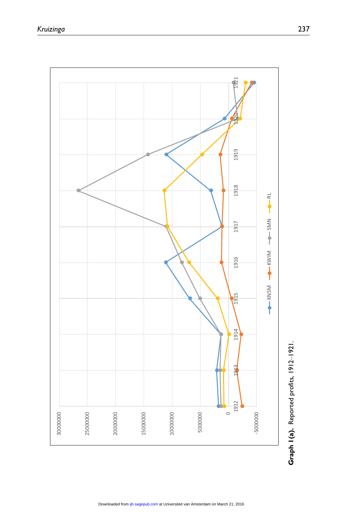

Downloaded from [ijh.sagepub.com](http://ijh.sagepub.com/) at Universiteit van Amsterdam on March 21, 2016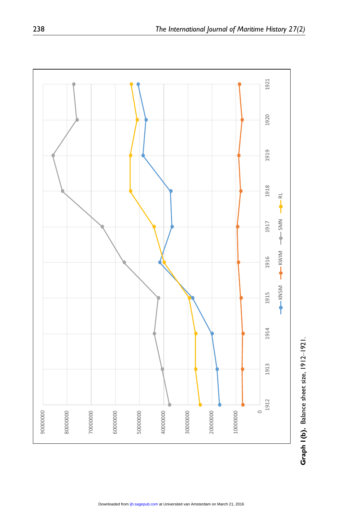

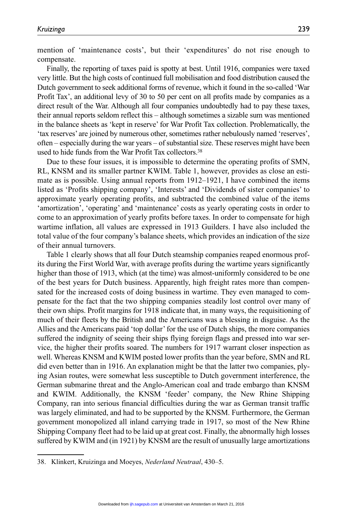mention of 'maintenance costs', but their 'expenditures' do not rise enough to compensate.

Finally, the reporting of taxes paid is spotty at best. Until 1916, companies were taxed very little. But the high costs of continued full mobilisation and food distribution caused the Dutch government to seek additional forms of revenue, which it found in the so-called 'War Profit Tax', an additional levy of 30 to 50 per cent on all profits made by companies as a direct result of the War. Although all four companies undoubtedly had to pay these taxes, their annual reports seldom reflect this – although sometimes a sizable sum was mentioned in the balance sheets as 'kept in reserve' for War Profit Tax collection. Problematically, the 'tax reserves' are joined by numerous other, sometimes rather nebulously named 'reserves', often – especially during the war years – of substantial size. These reserves might have been used to hide funds from the War Profit Tax collectors.38

Due to these four issues, it is impossible to determine the operating profits of SMN, RL, KNSM and its smaller partner KWIM. Table 1, however, provides as close an estimate as is possible. Using annual reports from 1912–1921, I have combined the items listed as 'Profits shipping company', 'Interests' and 'Dividends of sister companies' to approximate yearly operating profits, and subtracted the combined value of the items 'amortization', 'operating' and 'maintenance' costs as yearly operating costs in order to come to an approximation of yearly profits before taxes. In order to compensate for high wartime inflation, all values are expressed in 1913 Guilders. I have also included the total value of the four company's balance sheets, which provides an indication of the size of their annual turnovers.

Table 1 clearly shows that all four Dutch steamship companies reaped enormous profits during the First World War, with average profits during the wartime years significantly higher than those of 1913, which (at the time) was almost-uniformly considered to be one of the best years for Dutch business. Apparently, high freight rates more than compensated for the increased costs of doing business in wartime. They even managed to compensate for the fact that the two shipping companies steadily lost control over many of their own ships. Profit margins for 1918 indicate that, in many ways, the requisitioning of much of their fleets by the British and the Americans was a blessing in disguise. As the Allies and the Americans paid 'top dollar' for the use of Dutch ships, the more companies suffered the indignity of seeing their ships flying foreign flags and pressed into war service, the higher their profits soared. The numbers for 1917 warrant closer inspection as well. Whereas KNSM and KWIM posted lower profits than the year before, SMN and RL did even better than in 1916. An explanation might be that the latter two companies, plying Asian routes, were somewhat less susceptible to Dutch government interference, the German submarine threat and the Anglo-American coal and trade embargo than KNSM and KWIM. Additionally, the KNSM 'feeder' company, the New Rhine Shipping Company, ran into serious financial difficulties during the war as German transit traffic was largely eliminated, and had to be supported by the KNSM. Furthermore, the German government monopolized all inland carrying trade in 1917, so most of the New Rhine Shipping Company fleet had to be laid up at great cost. Finally, the abnormally high losses suffered by KWIM and (in 1921) by KNSM are the result of unusually large amortizations

<sup>38.</sup> Klinkert, Kruizinga and Moeyes, *Nederland Neutraal*, 430–5.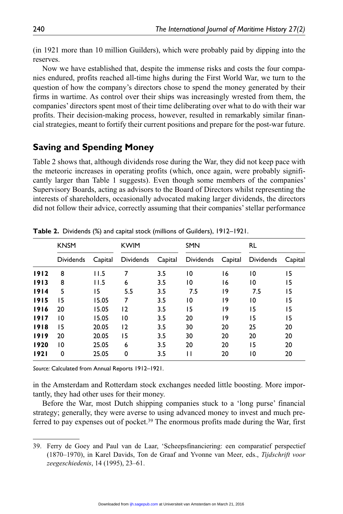(in 1921 more than 10 million Guilders), which were probably paid by dipping into the reserves.

Now we have established that, despite the immense risks and costs the four companies endured, profits reached all-time highs during the First World War, we turn to the question of how the company's directors chose to spend the money generated by their firms in wartime. As control over their ships was increasingly wrested from them, the companies' directors spent most of their time deliberating over what to do with their war profits. Their decision-making process, however, resulted in remarkably similar financial strategies, meant to fortify their current positions and prepare for the post-war future.

# **Saving and Spending Money**

Table 2 shows that, although dividends rose during the War, they did not keep pace with the meteoric increases in operating profits (which, once again, were probably significantly larger than Table 1 suggests). Even though some members of the companies' Supervisory Boards, acting as advisors to the Board of Directors whilst representing the interests of shareholders, occasionally advocated making larger dividends, the directors did not follow their advice, correctly assuming that their companies' stellar performance

|      | <b>KNSM</b>      |         | <b>KWIM</b>      |         | <b>SMN</b>       |         | <b>RL</b>        |         |  |
|------|------------------|---------|------------------|---------|------------------|---------|------------------|---------|--|
|      | <b>Dividends</b> | Capital | <b>Dividends</b> | Capital | <b>Dividends</b> | Capital | <b>Dividends</b> | Capital |  |
| 1912 | 8                | 11.5    | 7                | 3.5     | 10               | 16      | 10               | 15      |  |
| 1913 | 8                | 11.5    | 6                | 3.5     | 10               | 16      | 10               | 15      |  |
| 1914 | 5                | 15      | 5.5              | 3.5     | 7.5              | 19      | 7.5              | 15      |  |
| 1915 | 15               | 15.05   | 7                | 3.5     | 10               | 19      | 10               | 15      |  |
| 1916 | 20               | 15.05   | 12               | 3.5     | 15               | 19      | 15               | 15      |  |
| 1917 | 10               | 15.05   | 10               | 3.5     | 20               | 19      | 15               | 15      |  |
| 1918 | 15               | 20.05   | 12               | 3.5     | 30               | 20      | 25               | 20      |  |
| 1919 | 20               | 20.05   | 15               | 3.5     | 30               | 20      | 20               | 20      |  |
| 1920 | 10               | 25.05   | 6                | 3.5     | 20               | 20      | 15               | 20      |  |
| 1921 | 0                | 25.05   | 0                | 3.5     | П                | 20      | 10               | 20      |  |

**Table 2.** Dividends (%) and capital stock (millions of Guilders), 1912–1921.

*Source:* Calculated from Annual Reports 1912–1921.

in the Amsterdam and Rotterdam stock exchanges needed little boosting. More importantly, they had other uses for their money.

Before the War, most Dutch shipping companies stuck to a 'long purse' financial strategy; generally, they were averse to using advanced money to invest and much preferred to pay expenses out of pocket.39 The enormous profits made during the War, first

<sup>39.</sup> Ferry de Goey and Paul van de Laar, 'Scheepsfinanciering: een comparatief perspectief (1870–1970), in Karel Davids, Ton de Graaf and Yvonne van Meer, eds., *Tijdschrift voor zeegeschiedenis*, 14 (1995), 23–61.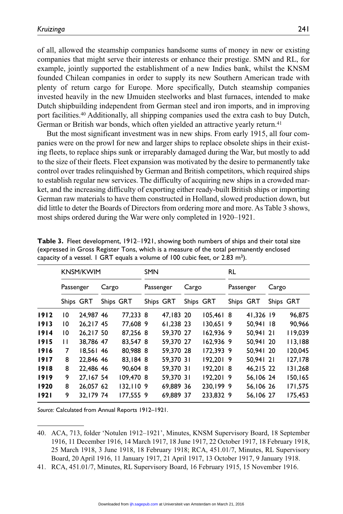of all, allowed the steamship companies handsome sums of money in new or existing companies that might serve their interests or enhance their prestige. SMN and RL, for example, jointly supported the establishment of a new Indies bank, whilst the KNSM founded Chilean companies in order to supply its new Southern American trade with plenty of return cargo for Europe. More specifically, Dutch steamship companies invested heavily in the new IJmuiden steelworks and blast furnaces, intended to make Dutch shipbuilding independent from German steel and iron imports, and in improving port facilities.40 Additionally, all shipping companies used the extra cash to buy Dutch, German or British war bonds, which often yielded an attractive yearly return.<sup>41</sup>

But the most significant investment was in new ships. From early 1915, all four companies were on the prowl for new and larger ships to replace obsolete ships in their existing fleets, to replace ships sunk or irreparably damaged during the War, but mostly to add to the size of their fleets. Fleet expansion was motivated by the desire to permanently take control over trades relinquished by German and British competitors, which required ships to establish regular new services. The difficulty of acquiring new ships in a crowded market, and the increasing difficulty of exporting either ready-built British ships or importing German raw materials to have them constructed in Holland, slowed production down, but did little to deter the Boards of Directors from ordering more and more. As Table 3 shows, most ships ordered during the War were only completed in 1920–1921.

|      | <b>KNSM/KWIM</b> |           |           |           | <b>SMN</b> |           |           |             | <b>RL</b> |           |           |         |
|------|------------------|-----------|-----------|-----------|------------|-----------|-----------|-------------|-----------|-----------|-----------|---------|
|      | Passenger        |           | Cargo     |           | Passenger  |           | Cargo     |             | Passenger |           | Cargo     |         |
|      | Ships GRT        |           | Ships GRT |           | Ships GRT  |           | Ships GRT |             | Ships GRT |           | Ships GRT |         |
| 1912 | 10               | 24.987 46 |           | 77.233 8  |            | 47,183 20 |           | $105.461$ 8 |           | 41.326 19 |           | 96,875  |
| 1913 | 10               | 26,217 45 |           | 77,608 9  |            | 61.238 23 |           | 130.651 9   |           | 50.941 18 |           | 90.966  |
| 1914 | 10               | 26.217 50 |           | 87.256 8  |            | 59.370 27 |           | 162,936 9   |           | 50.941 21 |           | 119.039 |
| 1915 | $\mathbf{H}$     | 38.786 47 |           | 83.547 8  |            | 59.370 27 |           | 162,936 9   |           | 50.941 20 |           | 113.188 |
| 1916 | 7                | 18.561 46 |           | 80,988 8  |            | 59.370 28 |           | 172.393 9   |           | 50.941 20 |           | 120,045 |
| 1917 | 8                | 22.846 46 |           | 83.184 8  |            | 59.370 31 |           | 192,2019    |           | 50.941 21 |           | 127.178 |
| 1918 | 8                | 22.486 46 |           | 90.604 8  |            | 59,370 31 |           | 192,2018    |           | 46.215 22 |           | 131,268 |
| 1919 | 9                | 27.167 54 |           | 109,470 8 |            | 59.370 31 |           | 192,2019    |           | 56.106 24 |           | 150.165 |
| 1920 | 8                | 26.057 62 |           | 132.1109  |            | 69.889 36 |           | 230.199 9   |           | 56,106 26 |           | 171,575 |
| 1921 | 9                | 32.179 74 |           | 177.555 9 |            | 69.889 37 |           | 233.832 9   |           | 56.106 27 |           | 175,453 |

**Table 3.** Fleet development, 1912–1921, showing both numbers of ships and their total size (expressed in Gross Register Tons, which is a measure of the total permanently enclosed capacity of a vessel. 1 GRT equals a volume of 100 cubic feet, or 2.83 m3).

*Source:* Calculated from Annual Reports 1912–1921.

<sup>40.</sup> ACA, 713, folder 'Notulen 1912–1921', Minutes, KNSM Supervisory Board, 18 September 1916, 11 December 1916, 14 March 1917, 18 June 1917, 22 October 1917, 18 February 1918, 25 March 1918, 3 June 1918, 18 February 1918; RCA, 451.01/7, Minutes, RL Supervisory Board, 20 April 1916, 11 January 1917, 21 April 1917, 13 October 1917, 9 January 1918.

<sup>41.</sup> RCA, 451.01/7, Minutes, RL Supervisory Board, 16 February 1915, 15 November 1916.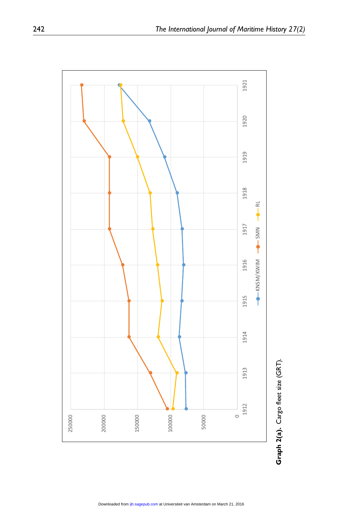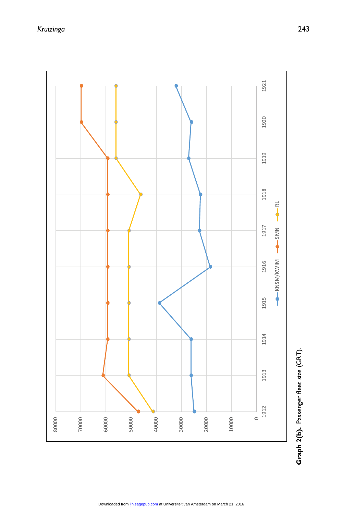

Downloaded from [ijh.sagepub.com](http://ijh.sagepub.com/) at Universiteit van Amsterdam on March 21, 2016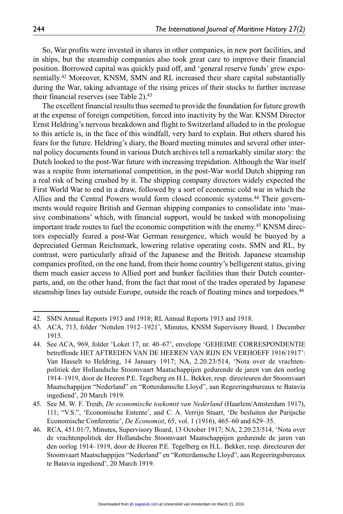So, War profits were invested in shares in other companies, in new port facilities, and in ships, but the steamship companies also took great care to improve their financial position. Borrowed capital was quickly paid off, and 'general reserve funds' grew exponentially.42 Moreover, KNSM, SMN and RL increased their share capital substantially during the War, taking advantage of the rising prices of their stocks to further increase their financial reserves (see Table 2).43

The excellent financial results thus seemed to provide the foundation for future growth at the expense of foreign competition, forced into inactivity by the War. KNSM Director Ernst Heldring's nervous breakdown and flight to Switzerland alluded to in the prologue to this article is, in the face of this windfall, very hard to explain. But others shared his fears for the future. Heldring's diary, the Board meeting minutes and several other internal policy documents found in various Dutch archives tell a remarkably similar story: the Dutch looked to the post-War future with increasing trepidation. Although the War itself was a respite from international competition, in the post-War world Dutch shipping ran a real risk of being crushed by it. The shipping company directors widely expected the First World War to end in a draw, followed by a sort of economic cold war in which the Allies and the Central Powers would form closed economic systems.44 Their governments would require British and German shipping companies to consolidate into 'massive combinations' which, with financial support, would be tasked with monopolising important trade routes to fuel the economic competition with the enemy.45 KNSM directors especially feared a post-War German resurgence, which would be buoyed by a depreciated German Reichsmark, lowering relative operating costs. SMN and RL, by contrast, were particularly afraid of the Japanese and the British. Japanese steamship companies profited, on the one hand, from their home country's belligerent status, giving them much easier access to Allied port and bunker facilities than their Dutch counterparts, and, on the other hand, from the fact that most of the trades operated by Japanese steamship lines lay outside Europe, outside the reach of floating mines and torpedoes.<sup>46</sup>

<sup>42.</sup> SMN Annual Reports 1913 and 1918; RL Annual Reports 1913 and 1918.

<sup>43.</sup> ACA, 713, folder 'Notulen 1912–1921', Minutes, KNSM Supervisory Board, 1 December 1915.

<sup>44.</sup> See ACA, 969, folder 'Loket 17, nr. 40–67', envelope 'GEHEIME CORRESPONDENTIE betreffende HET AFTREDEN VAN DE HEEREN VAN RIJN EN VERHOEFF 1916/1917': Van Hasselt to Heldring, 14 January 1917; NA, 2.20.23/514, 'Nota over de vrachtenpolitiek der Hollandsche Stoomvaart Maatschappijen gedurende de jaren van den oorlog 1914–1919, door de Heeren P.E. Tegelberg en H.L. Bekker, resp. directeuren der Stoomvaart Maatschappijen "Nederland" en "Rotterdamsche Lloyd", aan Regeeringsbureaux te Batavia ingediend', 20 March 1919.

<sup>45.</sup> See M. W. F. Treub, *De economische toekomst van Nederland* (Haarlem/Amsterdam 1917), 111; "V.S.", 'Economische Entente', and C. A. Verrijn Stuart, 'De besluiten der Parijsche Economische Conferentie', *De Economist*, 65, vol. 1 (1916), 465–60 and 629–35.

<sup>46.</sup> RCA, 451.01/7, Minutes, Supervisory Board, 13 October 1917; NA, 2.20.23/514, 'Nota over de vrachtenpolitiek der Hollandsche Stoomvaart Maatschappijen gedurende de jaren van den oorlog 1914–1919, door de Heeren P.E. Tegelberg en H.L. Bekker, resp. directeuren der Stoomvaart Maatschappijen "Nederland" en "Rotterdamsche Lloyd", aan Regeeringsbureaux te Batavia ingediend', 20 March 1919.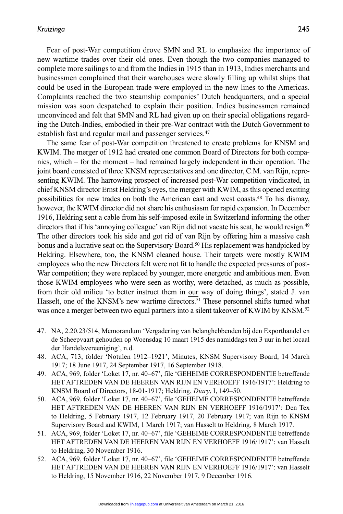Fear of post-War competition drove SMN and RL to emphasize the importance of new wartime trades over their old ones. Even though the two companies managed to complete more sailings to and from the Indies in 1915 than in 1913, Indies merchants and businessmen complained that their warehouses were slowly filling up whilst ships that could be used in the European trade were employed in the new lines to the Americas. Complaints reached the two steamship companies' Dutch headquarters, and a special mission was soon despatched to explain their position. Indies businessmen remained unconvinced and felt that SMN and RL had given up on their special obligations regarding the Dutch-Indies, embodied in their pre-War contract with the Dutch Government to establish fast and regular mail and passenger services.47

The same fear of post-War competition threatened to create problems for KNSM and KWIM. The merger of 1912 had created one common Board of Directors for both companies, which – for the moment – had remained largely independent in their operation. The joint board consisted of three KNSM representatives and one director, C.M. van Rijn, representing KWIM. The harrowing prospect of increased post-War competition vindicated, in chief KNSM director Ernst Heldring's eyes, the merger with KWIM, as this opened exciting possibilities for new trades on both the American east and west coasts.48 To his dismay, however, the KWIM director did not share his enthusiasm for rapid expansion. In December 1916, Heldring sent a cable from his self-imposed exile in Switzerland informing the other directors that if his 'annoying colleague' van Rijn did not vacate his seat, he would resign.49 The other directors took his side and got rid of van Rijn by offering him a massive cash bonus and a lucrative seat on the Supervisory Board.50 His replacement was handpicked by Heldring. Elsewhere, too, the KNSM cleaned house. Their targets were mostly KWIM employees who the new Directors felt were not fit to handle the expected pressures of post-War competition; they were replaced by younger, more energetic and ambitious men. Even those KWIM employees who were seen as worthy, were detached, as much as possible, from their old milieu 'to better instruct them in our way of doing things', stated J. van Hasselt, one of the KNSM's new wartime directors.<sup>51</sup> These personnel shifts turned what was once a merger between two equal partners into a silent takeover of KWIM by KNSM.<sup>52</sup>

<sup>47.</sup> NA, 2.20.23/514, Memorandum 'Vergadering van belanghebbenden bij den Exporthandel en de Scheepvaart gehouden op Woensdag 10 maart 1915 des namiddags ten 3 uur in het locaal der Handelsvereeniging', n.d.

<sup>48.</sup> ACA, 713, folder 'Notulen 1912–1921', Minutes, KNSM Supervisory Board, 14 March 1917; 18 June 1917, 24 September 1917, 16 September 1918.

<sup>49.</sup> ACA, 969, folder 'Loket 17, nr. 40–67', file 'GEHEIME CORRESPONDENTIE betreffende HET AFTREDEN VAN DE HEEREN VAN RIJN EN VERHOEFF 1916/1917': Heldring to KNSM Board of Directors, 18-01-1917; Heldring, *Diary*, I, 149–50.

<sup>50.</sup> ACA, 969, folder 'Loket 17, nr. 40–67', file 'GEHEIME CORRESPONDENTIE betreffende HET AFTREDEN VAN DE HEEREN VAN RIJN EN VERHOEFF 1916/1917': Den Tex to Heldring, 5 February 1917, 12 February 1917, 20 February 1917; van Rijn to KNSM Supervisory Board and KWIM, 1 March 1917; van Hasselt to Heldring, 8 March 1917.

<sup>51.</sup> ACA, 969, folder 'Loket 17, nr. 40–67', file 'GEHEIME CORRESPONDENTIE betreffende HET AFTREDEN VAN DE HEEREN VAN RIJN EN VERHOEFF 1916/1917': van Hasselt to Heldring, 30 November 1916.

<sup>52.</sup> ACA, 969, folder 'Loket 17, nr. 40–67', file 'GEHEIME CORRESPONDENTIE betreffende HET AFTREDEN VAN DE HEEREN VAN RIJN EN VERHOEFF 1916/1917': van Hasselt to Heldring, 15 November 1916, 22 November 1917, 9 December 1916.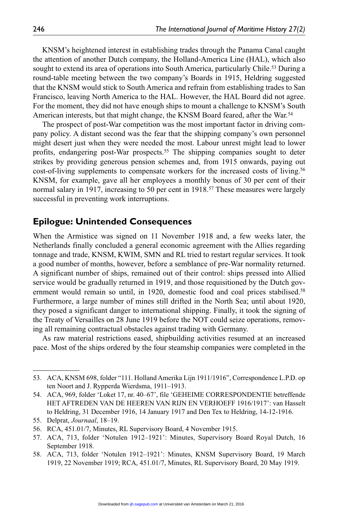KNSM's heightened interest in establishing trades through the Panama Canal caught the attention of another Dutch company, the Holland-America Line (HAL), which also sought to extend its area of operations into South America, particularly Chile.<sup>53</sup> During a round-table meeting between the two company's Boards in 1915, Heldring suggested that the KNSM would stick to South America and refrain from establishing trades to San Francisco, leaving North America to the HAL. However, the HAL Board did not agree. For the moment, they did not have enough ships to mount a challenge to KNSM's South American interests, but that might change, the KNSM Board feared, after the War.54

The prospect of post-War competition was the most important factor in driving company policy. A distant second was the fear that the shipping company's own personnel might desert just when they were needed the most. Labour unrest might lead to lower profits, endangering post-War prospects.55 The shipping companies sought to deter strikes by providing generous pension schemes and, from 1915 onwards, paying out cost-of-living supplements to compensate workers for the increased costs of living.56 KNSM, for example, gave all her employees a monthly bonus of 30 per cent of their normal salary in 1917, increasing to 50 per cent in 1918.57 These measures were largely successful in preventing work interruptions.

# **Epilogue: Unintended Consequences**

When the Armistice was signed on 11 November 1918 and, a few weeks later, the Netherlands finally concluded a general economic agreement with the Allies regarding tonnage and trade, KNSM, KWIM, SMN and RL tried to restart regular services. It took a good number of months, however, before a semblance of pre-War normality returned. A significant number of ships, remained out of their control: ships pressed into Allied service would be gradually returned in 1919, and those requisitioned by the Dutch government would remain so until, in 1920, domestic food and coal prices stabilised.58 Furthermore, a large number of mines still drifted in the North Sea; until about 1920, they posed a significant danger to international shipping. Finally, it took the signing of the Treaty of Versailles on 28 June 1919 before the NOT could seize operations, removing all remaining contractual obstacles against trading with Germany.

As raw material restrictions eased, shipbuilding activities resumed at an increased pace. Most of the ships ordered by the four steamship companies were completed in the

<sup>53.</sup> ACA, KNSM 698, folder "111. Holland Amerika Lijn 1911/1916", Correspondence L.P.D. op ten Noort and J. Rypperda Wierdsma, 1911–1913.

<sup>54.</sup> ACA, 969, folder 'Loket 17, nr. 40–67', file 'GEHEIME CORRESPONDENTIE betreffende HET AFTREDEN VAN DE HEEREN VAN RIJN EN VERHOEFF 1916/1917': van Hasselt to Heldring, 31 December 1916, 14 January 1917 and Den Tex to Heldring, 14-12-1916.

<sup>55.</sup> Delprat, *Journaal*, 18–19.

<sup>56.</sup> RCA, 451.01/7, Minutes, RL Supervisory Board, 4 November 1915.

<sup>57.</sup> ACA, 713, folder 'Notulen 1912–1921': Minutes, Supervisory Board Royal Dutch, 16 September 1918.

<sup>58.</sup> ACA, 713, folder 'Notulen 1912–1921': Minutes, KNSM Supervisory Board, 19 March 1919, 22 November 1919; RCA, 451.01/7, Minutes, RL Supervisory Board, 20 May 1919.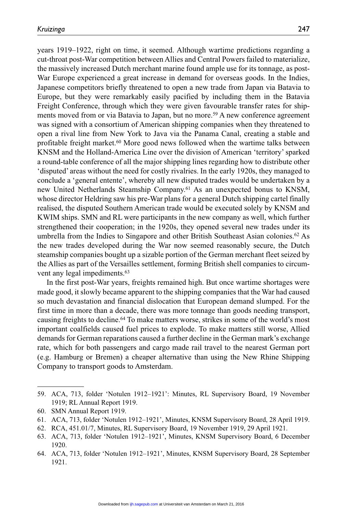years 1919–1922, right on time, it seemed. Although wartime predictions regarding a cut-throat post-War competition between Allies and Central Powers failed to materialize, the massively increased Dutch merchant marine found ample use for its tonnage, as post-War Europe experienced a great increase in demand for overseas goods. In the Indies, Japanese competitors briefly threatened to open a new trade from Japan via Batavia to Europe, but they were remarkably easily pacified by including them in the Batavia Freight Conference, through which they were given favourable transfer rates for shipments moved from or via Batavia to Japan, but no more.59 A new conference agreement was signed with a consortium of American shipping companies when they threatened to open a rival line from New York to Java via the Panama Canal, creating a stable and profitable freight market.60 More good news followed when the wartime talks between KNSM and the Holland-America Line over the division of American 'territory' sparked a round-table conference of all the major shipping lines regarding how to distribute other 'disputed' areas without the need for costly rivalries. In the early 1920s, they managed to conclude a 'general entente', whereby all new disputed trades would be undertaken by a new United Netherlands Steamship Company.61 As an unexpected bonus to KNSM, whose director Heldring saw his pre-War plans for a general Dutch shipping cartel finally realised, the disputed Southern American trade would be executed solely by KNSM and KWIM ships. SMN and RL were participants in the new company as well, which further strengthened their cooperation; in the 1920s, they opened several new trades under its umbrella from the Indies to Singapore and other British Southeast Asian colonies.62 As the new trades developed during the War now seemed reasonably secure, the Dutch steamship companies bought up a sizable portion of the German merchant fleet seized by the Allies as part of the Versailles settlement, forming British shell companies to circumvent any legal impediments.<sup>63</sup>

In the first post-War years, freights remained high. But once wartime shortages were made good, it slowly became apparent to the shipping companies that the War had caused so much devastation and financial dislocation that European demand slumped. For the first time in more than a decade, there was more tonnage than goods needing transport, causing freights to decline.64 To make matters worse, strikes in some of the world's most important coalfields caused fuel prices to explode. To make matters still worse, Allied demands for German reparations caused a further decline in the German mark's exchange rate, which for both passengers and cargo made rail travel to the nearest German port (e.g. Hamburg or Bremen) a cheaper alternative than using the New Rhine Shipping Company to transport goods to Amsterdam.

<sup>59.</sup> ACA, 713, folder 'Notulen 1912–1921': Minutes, RL Supervisory Board, 19 November 1919; RL Annual Report 1919.

<sup>60.</sup> SMN Annual Report 1919.

<sup>61.</sup> ACA, 713, folder 'Notulen 1912–1921', Minutes, KNSM Supervisory Board, 28 April 1919.

<sup>62.</sup> RCA, 451.01/7, Minutes, RL Supervisory Board, 19 November 1919, 29 April 1921.

<sup>63.</sup> ACA, 713, folder 'Notulen 1912–1921', Minutes, KNSM Supervisory Board, 6 December 1920.

<sup>64.</sup> ACA, 713, folder 'Notulen 1912–1921', Minutes, KNSM Supervisory Board, 28 September 1921.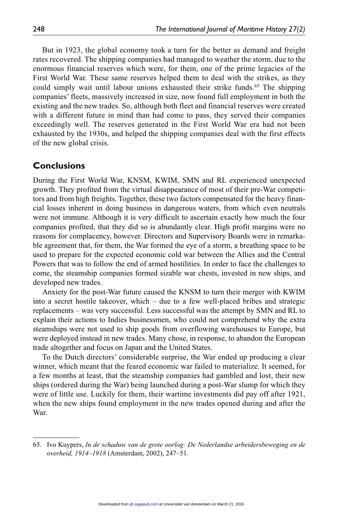But in 1923, the global economy took a turn for the better as demand and freight rates recovered. The shipping companies had managed to weather the storm, due to the enormous financial reserves which were, for them, one of the prime legacies of the First World War. These same reserves helped them to deal with the strikes, as they could simply wait until labour unions exhausted their strike funds.65 The shipping companies' fleets, massively increased in size, now found full employment in both the existing and the new trades. So, although both fleet and financial reserves were created with a different future in mind than had come to pass, they served their companies exceedingly well. The reserves generated in the First World War era had not been exhausted by the 1930s, and helped the shipping companies deal with the first effects of the new global crisis.

#### **Conclusions**

During the First World War, KNSM, KWIM, SMN and RL experienced unexpected growth. They profited from the virtual disappearance of most of their pre-War competitors and from high freights. Together, these two factors compensated for the heavy financial losses inherent in doing business in dangerous waters, from which even neutrals were not immune. Although it is very difficult to ascertain exactly how much the four companies profited, that they did so is abundantly clear. High profit margins were no reasons for complacency, however. Directors and Supervisory Boards were in remarkable agreement that, for them, the War formed the eye of a storm, a breathing space to be used to prepare for the expected economic cold war between the Allies and the Central Powers that was to follow the end of armed hostilities. In order to face the challenges to come, the steamship companies formed sizable war chests, invested in new ships, and developed new trades.

Anxiety for the post-War future caused the KNSM to turn their merger with KWIM into a secret hostile takeover, which – due to a few well-placed bribes and strategic replacements – was very successful. Less successful was the attempt by SMN and RL to explain their actions to Indies businessmen, who could not comprehend why the extra steamships were not used to ship goods from overflowing warehouses to Europe, but were deployed instead in new trades. Many chose, in response, to abandon the European trade altogether and focus on Japan and the United States.

To the Dutch directors' considerable surprise, the War ended up producing a clear winner, which meant that the feared economic war failed to materialize. It seemed, for a few months at least, that the steamship companies had gambled and lost, their new ships (ordered during the War) being launched during a post-War slump for which they were of little use. Luckily for them, their wartime investments did pay off after 1921, when the new ships found employment in the new trades opened during and after the War.

<sup>65.</sup> Ivo Kuypers, *In de schaduw van de grote oorlog: De Nederlandse arbeidersbeweging en de overheid, 1914–1918* (Amsterdam, 2002), 247–51.